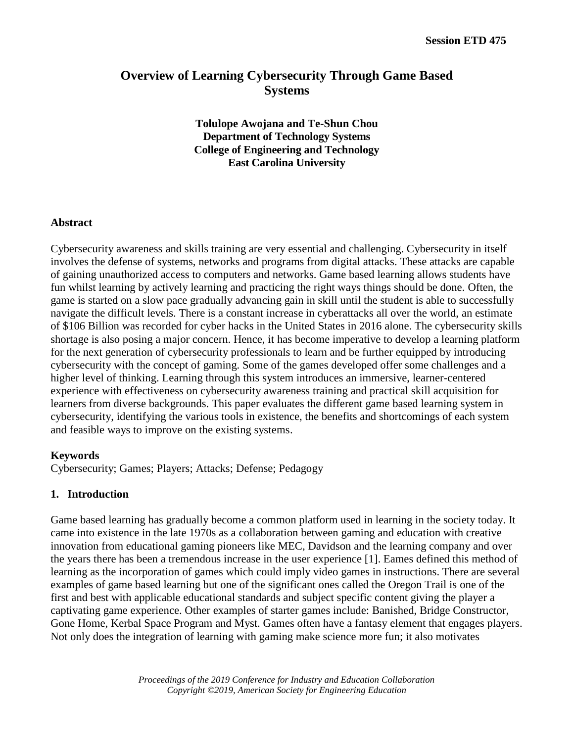# **Overview of Learning Cybersecurity Through Game Based Systems**

**Tolulope Awojana and Te-Shun Chou Department of Technology Systems College of Engineering and Technology East Carolina University**

#### **Abstract**

Cybersecurity awareness and skills training are very essential and challenging. Cybersecurity in itself involves the defense of systems, networks and programs from digital attacks. These attacks are capable of gaining unauthorized access to computers and networks. Game based learning allows students have fun whilst learning by actively learning and practicing the right ways things should be done. Often, the game is started on a slow pace gradually advancing gain in skill until the student is able to successfully navigate the difficult levels. There is a constant increase in cyberattacks all over the world, an estimate of \$106 Billion was recorded for cyber hacks in the United States in 2016 alone. The cybersecurity skills shortage is also posing a major concern. Hence, it has become imperative to develop a learning platform for the next generation of cybersecurity professionals to learn and be further equipped by introducing cybersecurity with the concept of gaming. Some of the games developed offer some challenges and a higher level of thinking. Learning through this system introduces an immersive, learner-centered experience with effectiveness on cybersecurity awareness training and practical skill acquisition for learners from diverse backgrounds. This paper evaluates the different game based learning system in cybersecurity, identifying the various tools in existence, the benefits and shortcomings of each system and feasible ways to improve on the existing systems.

#### **Keywords**

Cybersecurity; Games; Players; Attacks; Defense; Pedagogy

### **1. Introduction**

Game based learning has gradually become a common platform used in learning in the society today. It came into existence in the late 1970s as a collaboration between gaming and education with creative innovation from educational gaming pioneers like MEC, Davidson and the learning company and over the years there has been a tremendous increase in the user experience [\[1\].](#page-7-0) Eames defined this method of learning as the incorporation of games which could imply video games in instructions. There are several examples of game based learning but one of the significant ones called the Oregon Trail is one of the first and best with applicable educational standards and subject specific content giving the player a captivating game experience. Other examples of starter games include: Banished, Bridge Constructor, Gone Home, Kerbal Space Program and Myst. Games often have a fantasy element that engages players. Not only does the integration of learning with gaming make science more fun; it also motivates

> *Proceedings of the 2019 Conference for Industry and Education Collaboration Copyright ©2019, American Society for Engineering Education*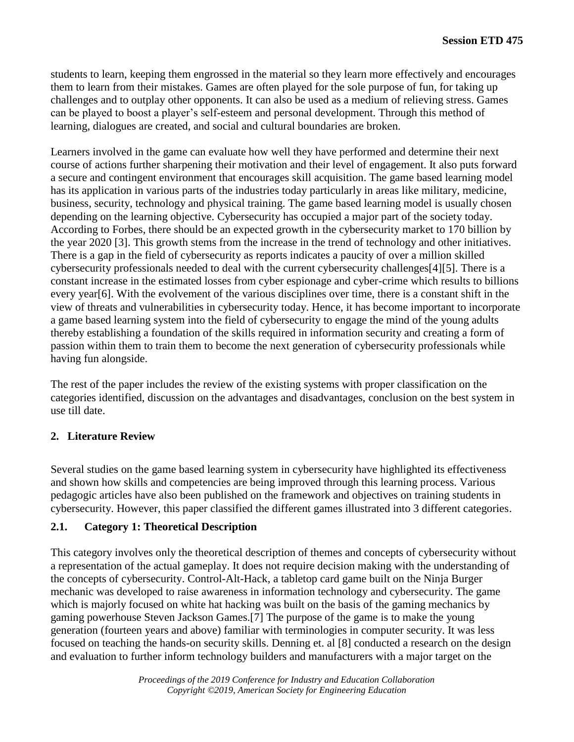students to learn, keeping them engrossed in the material so they learn more effectively and encourages them to learn from their mistakes. Games are often played for the sole purpose of fun, for taking up challenges and to outplay other opponents. It can also be used as a medium of relieving stress. Games can be played to boost a player's self-esteem and personal development. Through this method of learning, dialogues are created, and social and cultural boundaries are broken.

Learners involved in the game can evaluate how well they have performed and determine their next course of actions further sharpening their motivation and their level of engagement. It also puts forward a secure and contingent environment that encourages skill acquisition. The game based learning model has its application in various parts of the industries today particularly in areas like military, medicine, business, security, technology and physical training. The game based learning model is usually chosen depending on the learning objective. Cybersecurity has occupied a major part of the society today. According to Forbes, there should be an expected growth in the cybersecurity market to 170 billion by the year 2020 [\[3\].](#page-7-1) This growth stems from the increase in the trend of technology and other initiatives. There is a gap in the field of cybersecurity as reports indicates a paucity of over a million skilled cybersecurity professionals needed to deal with the current cybersecurity challenge[s\[4\]](#page-7-2)[\[5\].](#page-7-3) There is a constant increase in the estimated losses from cyber espionage and cyber-crime which results to billions every yea[r\[6\].](#page-7-4) With the evolvement of the various disciplines over time, there is a constant shift in the view of threats and vulnerabilities in cybersecurity today. Hence, it has become important to incorporate a game based learning system into the field of cybersecurity to engage the mind of the young adults thereby establishing a foundation of the skills required in information security and creating a form of passion within them to train them to become the next generation of cybersecurity professionals while having fun alongside.

The rest of the paper includes the review of the existing systems with proper classification on the categories identified, discussion on the advantages and disadvantages, conclusion on the best system in use till date.

### **2. Literature Review**

Several studies on the game based learning system in cybersecurity have highlighted its effectiveness and shown how skills and competencies are being improved through this learning process. Various pedagogic articles have also been published on the framework and objectives on training students in cybersecurity. However, this paper classified the different games illustrated into 3 different categories.

### **2.1. Category 1: Theoretical Description**

This category involves only the theoretical description of themes and concepts of cybersecurity without a representation of the actual gameplay. It does not require decision making with the understanding of the concepts of cybersecurity. Control-Alt-Hack, a tabletop card game built on the Ninja Burger mechanic was developed to raise awareness in information technology and cybersecurity. The game which is majorly focused on white hat hacking was built on the basis of the gaming mechanics by gaming powerhouse Steven Jackson Games[.\[7\]](#page-7-5) The purpose of the game is to make the young generation (fourteen years and above) familiar with terminologies in computer security. It was less focused on teaching the hands-on security skills. Denning et. al [\[8\]](#page-7-6) conducted a research on the design and evaluation to further inform technology builders and manufacturers with a major target on the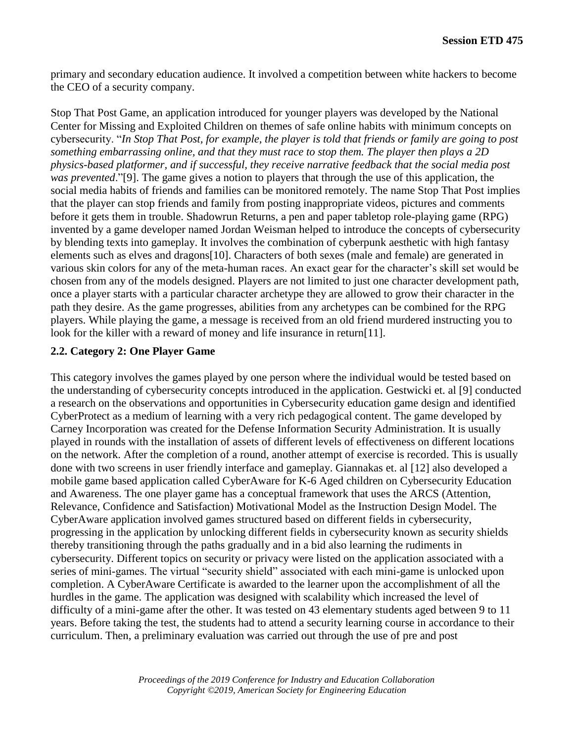primary and secondary education audience. It involved a competition between white hackers to become the CEO of a security company.

Stop That Post Game, an application introduced for younger players was developed by the National Center for Missing and Exploited Children on themes of safe online habits with minimum concepts on cybersecurity. "*In Stop That Post, for example, the player is told that friends or family are going to post something embarrassing online, and that they must race to stop them. The player then plays a 2D physics-based platformer, and if successful, they receive narrative feedback that the social media post was prevented*.["\[9\].](#page-7-7) The game gives a notion to players that through the use of this application, the social media habits of friends and families can be monitored remotely. The name Stop That Post implies that the player can stop friends and family from posting inappropriate videos, pictures and comments before it gets them in trouble. Shadowrun Returns, a pen and paper tabletop role-playing game (RPG) invented by a game developer named Jordan Weisman helped to introduce the concepts of cybersecurity by blending texts into gameplay. It involves the combination of cyberpunk aesthetic with high fantasy elements such as elves and dragon[s\[10\].](#page-7-8) Characters of both sexes (male and female) are generated in various skin colors for any of the meta-human races. An exact gear for the character's skill set would be chosen from any of the models designed. Players are not limited to just one character development path, once a player starts with a particular character archetype they are allowed to grow their character in the path they desire. As the game progresses, abilities from any archetypes can be combined for the RPG players. While playing the game, a message is received from an old friend murdered instructing you to look for the killer with a reward of money and life insurance in retur[n\[11\].](#page-7-9)

### **2.2. Category 2: One Player Game**

This category involves the games played by one person where the individual would be tested based on the understanding of cybersecurity concepts introduced in the application. Gestwicki et. al [\[9\]](#page-7-7) conducted a research on the observations and opportunities in Cybersecurity education game design and identified CyberProtect as a medium of learning with a very rich pedagogical content. The game developed by Carney Incorporation was created for the Defense Information Security Administration. It is usually played in rounds with the installation of assets of different levels of effectiveness on different locations on the network. After the completion of a round, another attempt of exercise is recorded. This is usually done with two screens in user friendly interface and gameplay. Giannakas et. al [\[12\]](#page-7-10) also developed a mobile game based application called CyberAware for K-6 Aged children on Cybersecurity Education and Awareness. The one player game has a conceptual framework that uses the ARCS (Attention, Relevance, Confidence and Satisfaction) Motivational Model as the Instruction Design Model. The CyberAware application involved games structured based on different fields in cybersecurity, progressing in the application by unlocking different fields in cybersecurity known as security shields thereby transitioning through the paths gradually and in a bid also learning the rudiments in cybersecurity. Different topics on security or privacy were listed on the application associated with a series of mini-games. The virtual "security shield" associated with each mini-game is unlocked upon completion. A CyberAware Certificate is awarded to the learner upon the accomplishment of all the hurdles in the game. The application was designed with scalability which increased the level of difficulty of a mini-game after the other. It was tested on 43 elementary students aged between 9 to 11 years. Before taking the test, the students had to attend a security learning course in accordance to their curriculum. Then, a preliminary evaluation was carried out through the use of pre and post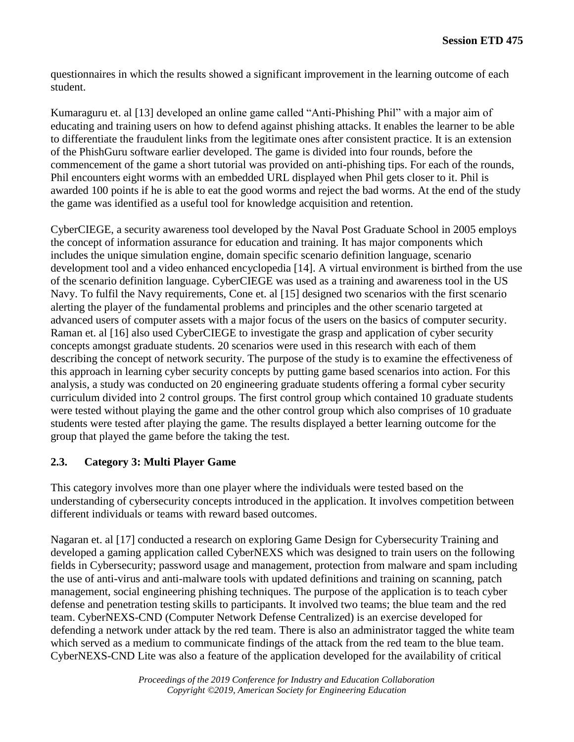questionnaires in which the results showed a significant improvement in the learning outcome of each student.

Kumaraguru et. al [\[13\]](#page-7-11) developed an online game called "Anti-Phishing Phil" with a major aim of educating and training users on how to defend against phishing attacks. It enables the learner to be able to differentiate the fraudulent links from the legitimate ones after consistent practice. It is an extension of the PhishGuru software earlier developed. The game is divided into four rounds, before the commencement of the game a short tutorial was provided on anti-phishing tips. For each of the rounds, Phil encounters eight worms with an embedded URL displayed when Phil gets closer to it. Phil is awarded 100 points if he is able to eat the good worms and reject the bad worms. At the end of the study the game was identified as a useful tool for knowledge acquisition and retention.

CyberCIEGE, a security awareness tool developed by the Naval Post Graduate School in 2005 employs the concept of information assurance for education and training. It has major components which includes the unique simulation engine, domain specific scenario definition language, scenario development tool and a video enhanced encyclopedia [\[14\].](#page-7-12) A virtual environment is birthed from the use of the scenario definition language. CyberCIEGE was used as a training and awareness tool in the US Navy. To fulfil the Navy requirements, Cone et. al [\[15\]](#page-7-13) designed two scenarios with the first scenario alerting the player of the fundamental problems and principles and the other scenario targeted at advanced users of computer assets with a major focus of the users on the basics of computer security. Raman et. al [\[16\]](#page-8-0) also used CyberCIEGE to investigate the grasp and application of cyber security concepts amongst graduate students. 20 scenarios were used in this research with each of them describing the concept of network security. The purpose of the study is to examine the effectiveness of this approach in learning cyber security concepts by putting game based scenarios into action. For this analysis, a study was conducted on 20 engineering graduate students offering a formal cyber security curriculum divided into 2 control groups. The first control group which contained 10 graduate students were tested without playing the game and the other control group which also comprises of 10 graduate students were tested after playing the game. The results displayed a better learning outcome for the group that played the game before the taking the test.

# **2.3. Category 3: Multi Player Game**

This category involves more than one player where the individuals were tested based on the understanding of cybersecurity concepts introduced in the application. It involves competition between different individuals or teams with reward based outcomes.

Nagaran et. al [\[17\]](#page-8-1) conducted a research on exploring Game Design for Cybersecurity Training and developed a gaming application called CyberNEXS which was designed to train users on the following fields in Cybersecurity; password usage and management, protection from malware and spam including the use of anti-virus and anti-malware tools with updated definitions and training on scanning, patch management, social engineering phishing techniques. The purpose of the application is to teach cyber defense and penetration testing skills to participants. It involved two teams; the blue team and the red team. CyberNEXS-CND (Computer Network Defense Centralized) is an exercise developed for defending a network under attack by the red team. There is also an administrator tagged the white team which served as a medium to communicate findings of the attack from the red team to the blue team. CyberNEXS-CND Lite was also a feature of the application developed for the availability of critical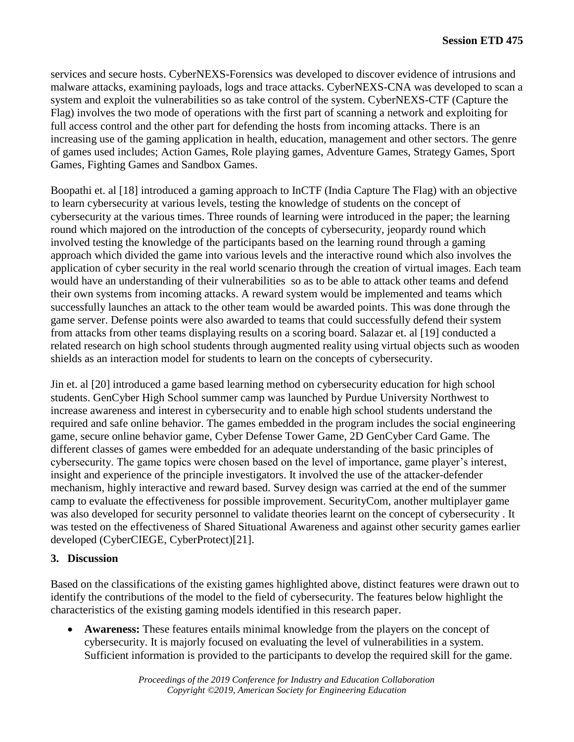services and secure hosts. CyberNEXS-Forensics was developed to discover evidence of intrusions and malware attacks, examining payloads, logs and trace attacks. CyberNEXS-CNA was developed to scan a system and exploit the vulnerabilities so as take control of the system. CyberNEXS-CTF (Capture the Flag) involves the two mode of operations with the first part of scanning a network and exploiting for full access control and the other part for defending the hosts from incoming attacks. There is an increasing use of the gaming application in health, education, management and other sectors. The genre of games used includes; Action Games, Role playing games, Adventure Games, Strategy Games, Sport Games, Fighting Games and Sandbox Games.

Boopathi et. al [\[18\]](#page-8-2) introduced a gaming approach to InCTF (India Capture The Flag) with an objective to learn cybersecurity at various levels, testing the knowledge of students on the concept of cybersecurity at the various times. Three rounds of learning were introduced in the paper; the learning round which majored on the introduction of the concepts of cybersecurity, jeopardy round which involved testing the knowledge of the participants based on the learning round through a gaming approach which divided the game into various levels and the interactive round which also involves the application of cyber security in the real world scenario through the creation of virtual images. Each team would have an understanding of their vulnerabilities so as to be able to attack other teams and defend their own systems from incoming attacks. A reward system would be implemented and teams which successfully launches an attack to the other team would be awarded points. This was done through the game server. Defense points were also awarded to teams that could successfully defend their system from attacks from other teams displaying results on a scoring board. Salazar et. al [\[19\]](#page-8-3) conducted a related research on high school students through augmented reality using virtual objects such as wooden shields as an interaction model for students to learn on the concepts of cybersecurity.

Jin et. al [\[20\]](#page-8-4) introduced a game based learning method on cybersecurity education for high school students. GenCyber High School summer camp was launched by Purdue University Northwest to increase awareness and interest in cybersecurity and to enable high school students understand the required and safe online behavior. The games embedded in the program includes the social engineering game, secure online behavior game, Cyber Defense Tower Game, 2D GenCyber Card Game. The different classes of games were embedded for an adequate understanding of the basic principles of cybersecurity. The game topics were chosen based on the level of importance, game player's interest, insight and experience of the principle investigators. It involved the use of the attacker-defender mechanism, highly interactive and reward based. Survey design was carried at the end of the summer camp to evaluate the effectiveness for possible improvement. SecurityCom, another multiplayer game was also developed for security personnel to validate theories learnt on the concept of cybersecurity . It was tested on the effectiveness of Shared Situational Awareness and against other security games earlier developed (CyberCIEGE, CyberProtect[\)\[21\].](#page-8-5)

### **3. Discussion**

Based on the classifications of the existing games highlighted above, distinct features were drawn out to identify the contributions of the model to the field of cybersecurity. The features below highlight the characteristics of the existing gaming models identified in this research paper.

• **Awareness:** These features entails minimal knowledge from the players on the concept of cybersecurity. It is majorly focused on evaluating the level of vulnerabilities in a system. Sufficient information is provided to the participants to develop the required skill for the game.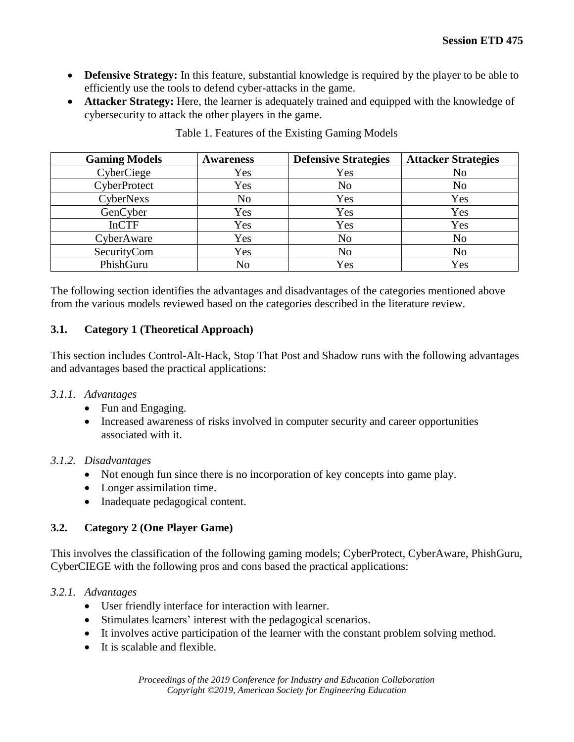- **Defensive Strategy:** In this feature, substantial knowledge is required by the player to be able to efficiently use the tools to defend cyber-attacks in the game.
- **Attacker Strategy:** Here, the learner is adequately trained and equipped with the knowledge of cybersecurity to attack the other players in the game.

| <b>Gaming Models</b> | Awareness      | <b>Defensive Strategies</b> | <b>Attacker Strategies</b> |
|----------------------|----------------|-----------------------------|----------------------------|
| CyberCiege           | Yes            | Yes                         | No                         |
| CyberProtect         | Yes            | N <sub>o</sub>              | No                         |
| CyberNexs            | N <sub>o</sub> | Yes                         | Yes                        |
| GenCyber             | Yes            | Yes                         | Yes                        |
| <b>InCTF</b>         | Yes            | Yes                         | Yes                        |
| CyberAware           | Yes            | N <sub>o</sub>              | N <sub>o</sub>             |
| SecurityCom          | Yes            | N <sub>o</sub>              | N <sub>o</sub>             |
| PhishGuru            | N <sub>o</sub> | Yes                         | Yes                        |

Table 1. Features of the Existing Gaming Models

The following section identifies the advantages and disadvantages of the categories mentioned above from the various models reviewed based on the categories described in the literature review.

### **3.1. Category 1 (Theoretical Approach)**

This section includes Control-Alt-Hack, Stop That Post and Shadow runs with the following advantages and advantages based the practical applications:

- *3.1.1. Advantages* 
	- Fun and Engaging.
	- Increased awareness of risks involved in computer security and career opportunities associated with it.

#### *3.1.2. Disadvantages*

- Not enough fun since there is no incorporation of key concepts into game play.
- Longer assimilation time.
- Inadequate pedagogical content.

### **3.2. Category 2 (One Player Game)**

This involves the classification of the following gaming models; CyberProtect, CyberAware, PhishGuru, CyberCIEGE with the following pros and cons based the practical applications:

#### *3.2.1. Advantages*

- User friendly interface for interaction with learner.
- Stimulates learners' interest with the pedagogical scenarios.
- It involves active participation of the learner with the constant problem solving method.
- It is scalable and flexible.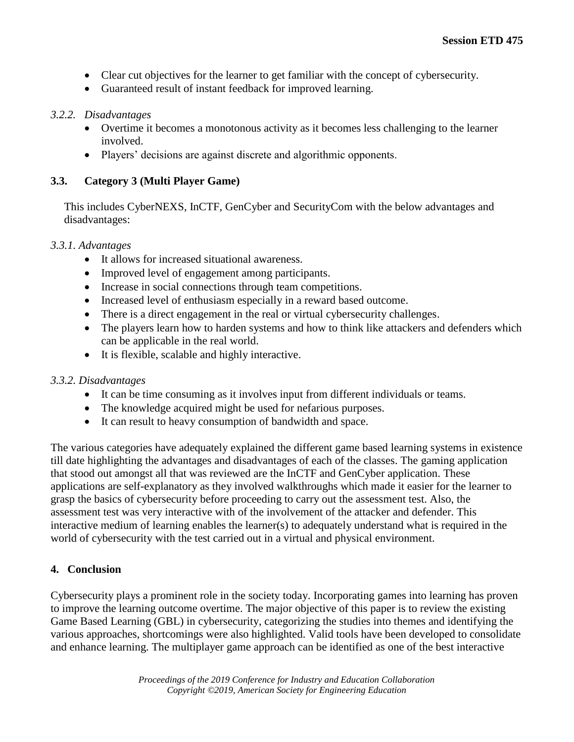- Clear cut objectives for the learner to get familiar with the concept of cybersecurity.
- Guaranteed result of instant feedback for improved learning.

### *3.2.2. Disadvantages*

- Overtime it becomes a monotonous activity as it becomes less challenging to the learner involved.
- Players' decisions are against discrete and algorithmic opponents.

# **3.3. Category 3 (Multi Player Game)**

This includes CyberNEXS, InCTF, GenCyber and SecurityCom with the below advantages and disadvantages:

#### *3.3.1. Advantages*

- It allows for increased situational awareness.
- Improved level of engagement among participants.
- Increase in social connections through team competitions.
- Increased level of enthusiasm especially in a reward based outcome.
- There is a direct engagement in the real or virtual cybersecurity challenges.
- The players learn how to harden systems and how to think like attackers and defenders which can be applicable in the real world.
- It is flexible, scalable and highly interactive.

### *3.3.2. Disadvantages*

- It can be time consuming as it involves input from different individuals or teams.
- The knowledge acquired might be used for nefarious purposes.
- It can result to heavy consumption of bandwidth and space.

The various categories have adequately explained the different game based learning systems in existence till date highlighting the advantages and disadvantages of each of the classes. The gaming application that stood out amongst all that was reviewed are the InCTF and GenCyber application. These applications are self-explanatory as they involved walkthroughs which made it easier for the learner to grasp the basics of cybersecurity before proceeding to carry out the assessment test. Also, the assessment test was very interactive with of the involvement of the attacker and defender. This interactive medium of learning enables the learner(s) to adequately understand what is required in the world of cybersecurity with the test carried out in a virtual and physical environment.

### **4. Conclusion**

Cybersecurity plays a prominent role in the society today. Incorporating games into learning has proven to improve the learning outcome overtime. The major objective of this paper is to review the existing Game Based Learning (GBL) in cybersecurity, categorizing the studies into themes and identifying the various approaches, shortcomings were also highlighted. Valid tools have been developed to consolidate and enhance learning. The multiplayer game approach can be identified as one of the best interactive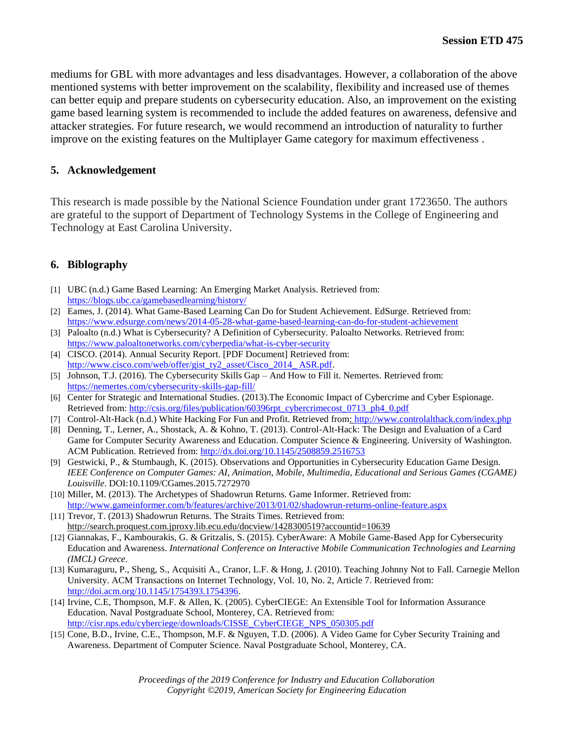mediums for GBL with more advantages and less disadvantages. However, a collaboration of the above mentioned systems with better improvement on the scalability, flexibility and increased use of themes can better equip and prepare students on cybersecurity education. Also, an improvement on the existing game based learning system is recommended to include the added features on awareness, defensive and attacker strategies. For future research, we would recommend an introduction of naturality to further improve on the existing features on the Multiplayer Game category for maximum effectiveness .

#### **5. Acknowledgement**

This research is made possible by the National Science Foundation under grant 1723650. The authors are grateful to the support of Department of Technology Systems in the College of Engineering and Technology at East Carolina University.

### **6. Biblography**

- <span id="page-7-0"></span>[1] UBC (n.d.) Game Based Learning: An Emerging Market Analysis. Retrieved from: <https://blogs.ubc.ca/gamebasedlearning/history/>
- [2] Eames, J. (2014). What Game-Based Learning Can Do for Student Achievement. EdSurge. Retrieved from: <https://www.edsurge.com/news/2014-05-28-what-game-based-learning-can-do-for-student-achievement>
- <span id="page-7-1"></span>[3] Paloalto (n.d.) What is Cybersecurity? A Definition of Cybersecurity. Paloalto Networks. Retrieved from: <https://www.paloaltonetworks.com/cyberpedia/what-is-cyber-security>
- <span id="page-7-2"></span>[4] CISCO. (2014). Annual Security Report. [PDF Document] Retrieved from: [http://www.cisco.com/web/offer/gist\\_ty2\\_asset/Cisco\\_2014\\_ ASR.pdf.](http://www.cisco.com/web/offer/gist_ty2_asset/Cisco_2014_%20ASR.pdf)
- <span id="page-7-3"></span>[5] Johnson, T.J. (2016). The Cybersecurity Skills Gap – And How to Fill it. Nemertes. Retrieved from: <https://nemertes.com/cybersecurity-skills-gap-fill/>
- <span id="page-7-4"></span>[6] Center for Strategic and International Studies. (2013).The Economic Impact of Cybercrime and Cyber Espionage. Retrieved from: [http://csis.org/files/publication/60396rpt\\_cybercrimecost\\_0713\\_ph4\\_0.pdf](http://csis.org/files/publication/60396rpt_cybercrimecost_0713_ph4_0.pdf)
- <span id="page-7-5"></span>[7] Control-Alt-Hack (n.d.) White Hacking For Fun and Profit. Retrieved from:<http://www.controlalthack.com/index.php>
- <span id="page-7-6"></span>[8] Denning, T., Lerner, A., Shostack, A. & Kohno, T. (2013). Control-Alt-Hack: The Design and Evaluation of a Card Game for Computer Security Awareness and Education. Computer Science & Engineering. University of Washington. ACM Publication. Retrieved from:<http://dx.doi.org/10.1145/2508859.2516753>
- <span id="page-7-7"></span>[9] Gestwicki, P., & Stumbaugh, K. (2015). Observations and Opportunities in Cybersecurity Education Game Design. *IEEE Conference on Computer Games: AI, Animation, Mobile, Multimedia, Educational and Serious Games (CGAME) Louisville*. DOI[:10.1109/CGames.2015.7272970](http://dx.doi.org.jproxy.lib.ecu.edu/10.1109/CGames.2015.7272970)
- <span id="page-7-8"></span>[10] Miller, M. (2013). The Archetypes of Shadowrun Returns. Game Informer. Retrieved from: <http://www.gameinformer.com/b/features/archive/2013/01/02/shadowrun-returns-online-feature.aspx>
- <span id="page-7-9"></span>[11] Trevor, T. (2013) Shadowrun Returns. The Straits Times. Retrieved from: http://search.proquest.com.jproxy.lib.ecu.edu/docview/1428300519?accountid=10639
- <span id="page-7-10"></span>[12] Giannakas, F., Kambourakis, G. & Gritzalis, S. (2015). CyberAware: A Mobile Game-Based App for Cybersecurity Education and Awareness. *International Conference on Interactive Mobile Communication Technologies and Learning (IMCL) Greece*.
- <span id="page-7-11"></span>[13] Kumaraguru, P., Sheng, S., Acquisiti A., Cranor, L.F. & Hong, J. (2010). Teaching Johnny Not to Fall. Carnegie Mellon University. ACM Transactions on Internet Technology, Vol. 10, No. 2, Article 7. Retrieved from: [http://doi.acm.org/10.1145/1754393.1754396.](http://doi.acm.org/10.1145/1754393.1754396)
- <span id="page-7-12"></span>[14] Irvine, C.E, Thompson, M.F. & Allen, K. (2005). CyberCIEGE: An Extensible Tool for Information Assurance Education. Naval Postgraduate School, Monterey, CA. Retrieved from: [http://cisr.nps.edu/cyberciege/downloads/CISSE\\_CyberCIEGE\\_NPS\\_050305.pdf](http://cisr.nps.edu/cyberciege/downloads/CISSE_CyberCIEGE_NPS_050305.pdf)
- <span id="page-7-13"></span>[15] Cone, B.D., Irvine, C.E., Thompson, M.F. & Nguyen, T.D. (2006). A Video Game for Cyber Security Training and Awareness. Department of Computer Science. Naval Postgraduate School, Monterey, CA.

*Proceedings of the 2019 Conference for Industry and Education Collaboration Copyright ©2019, American Society for Engineering Education*